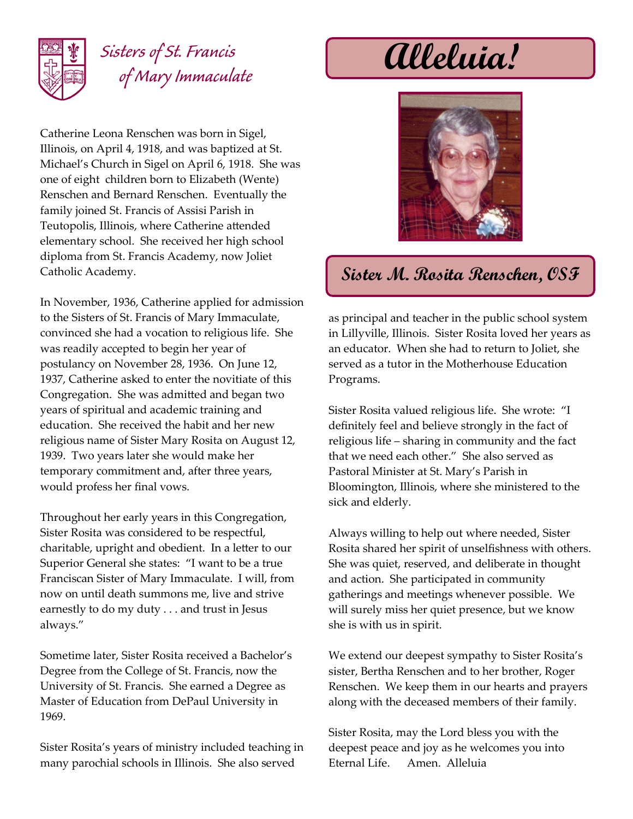

## *Sisters of St. Francis of Mary Immaculate*

Catherine Leona Renschen was born in Sigel, Illinois, on April 4, 1918, and was baptized at St. Michael's Church in Sigel on April 6, 1918. She was one of eight children born to Elizabeth (Wente) Renschen and Bernard Renschen. Eventually the family joined St. Francis of Assisi Parish in Teutopolis, Illinois, where Catherine attended elementary school. She received her high school diploma from St. Francis Academy, now Joliet Catholic Academy.

In November, 1936, Catherine applied for admission to the Sisters of St. Francis of Mary Immaculate, convinced she had a vocation to religious life. She was readily accepted to begin her year of postulancy on November 28, 1936. On June 12, 1937, Catherine asked to enter the novitiate of this Congregation. She was admitted and began two years of spiritual and academic training and education. She received the habit and her new religious name of Sister Mary Rosita on August 12, 1939. Two years later she would make her temporary commitment and, after three years, would profess her final vows.

Throughout her early years in this Congregation, Sister Rosita was considered to be respectful, charitable, upright and obedient. In a letter to our Superior General she states: "I want to be a true Franciscan Sister of Mary Immaculate. I will, from now on until death summons me, live and strive earnestly to do my duty . . . and trust in Jesus always."

Sometime later, Sister Rosita received a Bachelor's Degree from the College of St. Francis, now the University of St. Francis. She earned a Degree as Master of Education from DePaul University in 1969.

Sister Rosita's years of ministry included teaching in many parochial schools in Illinois. She also served

**Alleluia!**



## **Sister M. Rosita Renschen, OSF**

as principal and teacher in the public school system in Lillyville, Illinois. Sister Rosita loved her years as an educator. When she had to return to Joliet, she served as a tutor in the Motherhouse Education Programs.

Sister Rosita valued religious life. She wrote: "I definitely feel and believe strongly in the fact of religious life – sharing in community and the fact that we need each other." She also served as Pastoral Minister at St. Mary's Parish in Bloomington, Illinois, where she ministered to the sick and elderly.

Always willing to help out where needed, Sister Rosita shared her spirit of unselfishness with others. She was quiet, reserved, and deliberate in thought and action. She participated in community gatherings and meetings whenever possible. We will surely miss her quiet presence, but we know she is with us in spirit.

We extend our deepest sympathy to Sister Rosita's sister, Bertha Renschen and to her brother, Roger Renschen. We keep them in our hearts and prayers along with the deceased members of their family.

Sister Rosita, may the Lord bless you with the deepest peace and joy as he welcomes you into Eternal Life. Amen. Alleluia